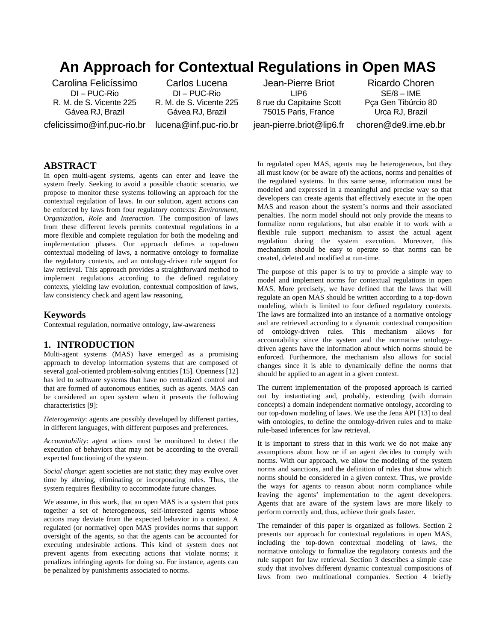# **An Approach for Contextual Regulations in Open MAS**

Carolina Felicíssimo DI – PUC-Rio R. M. de S. Vicente 225 Gávea RJ, Brazil cfelicissimo@inf.puc-rio.br

Carlos Lucena DI – PUC-Rio R. M. de S. Vicente 225 Gávea RJ, Brazil lucena@inf.puc-rio.br

Jean-Pierre Briot LIP6 8 rue du Capitaine Scott 75015 Paris, France jean-pierre.briot@lip6.fr

Ricardo Choren SE/8 – IME Pça Gen Tibúrcio 80 Urca RJ, Brazil choren@de9.ime.eb.br

# **ABSTRACT**

In open multi-agent systems, agents can enter and leave the system freely. Seeking to avoid a possible chaotic scenario, we propose to monitor these systems following an approach for the contextual regulation of laws. In our solution, agent actions can be enforced by laws from four regulatory contexts: *Environment*, O*rganization*, *Role* and *Interaction*. The composition of laws from these different levels permits contextual regulations in a more flexible and complete regulation for both the modeling and implementation phases. Our approach defines a top-down contextual modeling of laws, a normative ontology to formalize the regulatory contexts, and an ontology-driven rule support for law retrieval. This approach provides a straightforward method to implement regulations according to the defined regulatory contexts, yielding law evolution, contextual composition of laws, law consistency check and agent law reasoning.

#### **Keywords**

Contextual regulation, normative ontology, law-awareness

### **1. INTRODUCTION**

Multi-agent systems (MAS) have emerged as a promising approach to develop information systems that are composed of several goal-oriented problem-solving entities [15]. Openness [12] has led to software systems that have no centralized control and that are formed of autonomous entities, such as agents. MAS can be considered an open system when it presents the following characteristics [9]:

*Heterogeneity*: agents are possibly developed by different parties, in different languages, with different purposes and preferences.

*Accountability*: agent actions must be monitored to detect the execution of behaviors that may not be according to the overall expected functioning of the system.

*Social change*: agent societies are not static; they may evolve over time by altering, eliminating or incorporating rules. Thus, the system requires flexibility to accommodate future changes.

We assume, in this work, that an open MAS is a system that puts together a set of heterogeneous, self-interested agents whose actions may deviate from the expected behavior in a context. A regulated (or normative) open MAS provides norms that support oversight of the agents, so that the agents can be accounted for executing undesirable actions. This kind of system does not prevent agents from executing actions that violate norms; it penalizes infringing agents for doing so. For instance, agents can be penalized by punishments associated to norms.

In regulated open MAS, agents may be heterogeneous, but they all must know (or be aware of) the actions, norms and penalties of the regulated systems. In this same sense, information must be modeled and expressed in a meaningful and precise way so that developers can create agents that effectively execute in the open MAS and reason about the system's norms and their associated penalties. The norm model should not only provide the means to formalize norm regulations, but also enable it to work with a flexible rule support mechanism to assist the actual agent regulation during the system execution. Moreover, this mechanism should be easy to operate so that norms can be created, deleted and modified at run-time.

The purpose of this paper is to try to provide a simple way to model and implement norms for contextual regulations in open MAS. More precisely, we have defined that the laws that will regulate an open MAS should be written according to a top-down modeling, which is limited to four defined regulatory contexts. The laws are formalized into an instance of a normative ontology and are retrieved according to a dynamic contextual composition of ontology-driven rules. This mechanism allows for accountability since the system and the normative ontologydriven agents have the information about which norms should be enforced. Furthermore, the mechanism also allows for social changes since it is able to dynamically define the norms that should be applied to an agent in a given context.

The current implementation of the proposed approach is carried out by instantiating and, probably, extending (with domain concepts) a domain independent normative ontology, according to our top-down modeling of laws. We use the Jena API [13] to deal with ontologies, to define the ontology-driven rules and to make rule-based inferences for law retrieval.

It is important to stress that in this work we do not make any assumptions about how or if an agent decides to comply with norms. With our approach, we allow the modeling of the system norms and sanctions, and the definition of rules that show which norms should be considered in a given context. Thus, we provide the ways for agents to reason about norm compliance while leaving the agents' implementation to the agent developers. Agents that are aware of the system laws are more likely to perform correctly and, thus, achieve their goals faster.

The remainder of this paper is organized as follows. Section 2 presents our approach for contextual regulations in open MAS, including the top-down contextual modeling of laws, the normative ontology to formalize the regulatory contexts and the rule support for law retrieval. Section 3 describes a simple case study that involves different dynamic contextual compositions of laws from two multinational companies. Section 4 briefly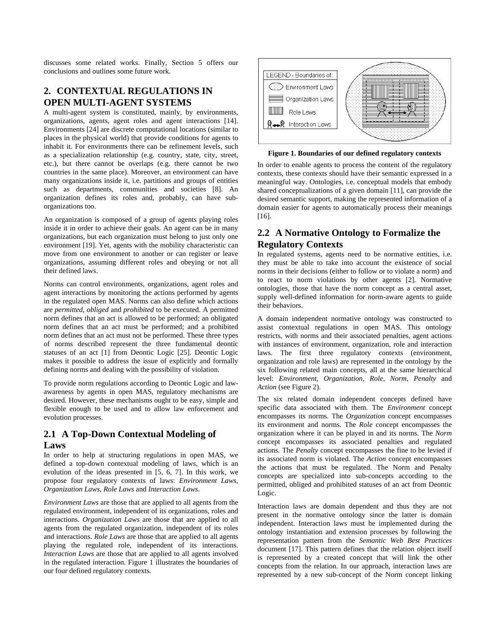discusses some related works. Finally, Section 5 offers our conclusions and outlines some future work.

# **2. CONTEXTUAL REGULATIONS IN OPEN MULTI-AGENT SYSTEMS**

A multi-agent system is constituted, mainly, by environments, organizations, agents, agent roles and agent interactions [14]. Environments [24] are discrete computational locations (similar to places in the physical world) that provide conditions for agents to inhabit it. For environments there can be refinement levels, such as a specialization relationship (e.g. country, state, city, street, etc.), but there cannot be overlaps (e.g. there cannot be two countries in the same place). Moreover, an environment can have many organizations inside it, i.e. partitions and groups of entities such as departments, communities and societies [8]. An organization defines its roles and, probably, can have suborganizations too.

An organization is composed of a group of agents playing roles inside it in order to achieve their goals. An agent can be in many organizations, but each organization must belong to just only one environment [19]. Yet, agents with the mobility characteristic can move from one environment to another or can register or leave organizations, assuming different roles and obeying or not all their defined laws.

Norms can control environments, organizations, agent roles and agent interactions by monitoring the actions performed by agents in the regulated open MAS. Norms can also define which actions are *permitted*, *obliged* and *prohibited* to be executed. A permitted norm defines that an act is allowed to be performed; an obligated norm defines that an act must be performed; and a prohibited norm defines that an act must not be performed. These three types of norms described represent the three fundamental deontic statuses of an act [1] from Deontic Logic [25]. Deontic Logic makes it possible to address the issue of explicitly and formally defining norms and dealing with the possibility of violation.

To provide norm regulations according to Deontic Logic and lawawareness by agents in open MAS, regulatory mechanisms are desired. However, these mechanisms ought to be easy, simple and flexible enough to be used and to allow law enforcement and evolution processes.

# **2.1 A Top-Down Contextual Modeling of Laws**

In order to help at structuring regulations in open MAS, we defined a top-down contextual modeling of laws, which is an evolution of the ideas presented in [5, 6, 7]. In this work, we propose four regulatory contexts of laws: *Environment Laws*, *Organization Laws*, *Role Laws* and *Interaction Laws*.

*Environment Laws* are those that are applied to all agents from the regulated environment, independent of its organizations, roles and interactions. *Organization Laws* are those that are applied to all agents from the regulated organization, independent of its roles and interactions. *Role Laws* are those that are applied to all agents playing the regulated role, independent of its interactions. *Interaction Laws* are those that are applied to all agents involved in the regulated interaction. Figure 1 illustrates the boundaries of our four defined regulatory contexts.



**Figure 1. Boundaries of our defined regulatory contexts**

In order to enable agents to process the content of the regulatory contexts, these contexts should have their semantic expressed in a meaningful way. Ontologies, i.e. conceptual models that embody shared conceptualizations of a given domain [11], can provide the desired semantic support, making the represented information of a domain easier for agents to automatically process their meanings [16].

# **2.2 A Normative Ontology to Formalize the Regulatory Contexts**

In regulated systems, agents need to be normative entities, i.e. they must be able to take into account the existence of social norms in their decisions (either to follow or to violate a norm) and to react to norm violations by other agents [2]. Normative ontologies, those that have the norm concept as a central asset, supply well-defined information for norm-aware agents to guide their behaviors.

A domain independent normative ontology was constructed to assist contextual regulations in open MAS. This ontology restricts, with norms and their associated penalties, agent actions with instances of environment, organization, role and interaction laws. The first three regulatory contexts (environment, organization and role laws) are represented in the ontology by the six following related main concepts, all at the same hierarchical level: *Environment*, *Organization*, *Role*, *Norm*, *Penalty* and *Action* (see Figure 2).

The six related domain independent concepts defined have specific data associated with them. The *Environment* concept encompasses its norms. The *Organization* concept encompasses its environment and norms. The *Role* concept encompasses the organization where it can be played in and its norms. The *Norm* concept encompasses its associated penalties and regulated actions. The *Penalty* concept encompasses the fine to be levied if its associated norm is violated. The *Action* concept encompasses the actions that must be regulated. The Norm and Penalty concepts are specialized into sub-concepts according to the permitted, obliged and prohibited statuses of an act from Deontic Logic.

Interaction laws are domain dependent and thus they are not present in the normative ontology since the latter is domain independent. Interaction laws must be implemented during the ontology instantiation and extension processes by following the representation pattern from the *Semantic Web Best Practices* document [17]. This pattern defines that the relation object itself is represented by a created concept that will link the other concepts from the relation. In our approach, interaction laws are represented by a new sub-concept of the Norm concept linking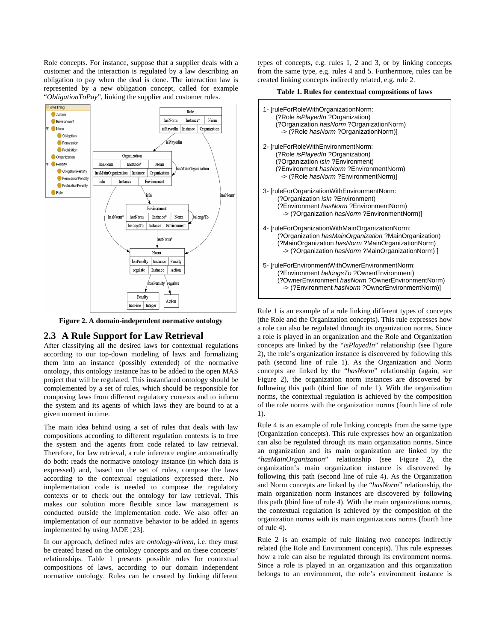Role concepts. For instance, suppose that a supplier deals with a customer and the interaction is regulated by a law describing an obligation to pay when the deal is done. The interaction law is represented by a new obligation concept, called for example "*ObligationToPay*", linking the supplier and customer roles.



**Figure 2. A domain-independent normative ontology** 

### **2.3 A Rule Support for Law Retrieval**

After classifying all the desired laws for contextual regulations according to our top-down modeling of laws and formalizing them into an instance (possibly extended) of the normative ontology, this ontology instance has to be added to the open MAS project that will be regulated. This instantiated ontology should be complemented by a set of rules, which should be responsible for composing laws from different regulatory contexts and to inform the system and its agents of which laws they are bound to at a given moment in time.

The main idea behind using a set of rules that deals with law compositions according to different regulation contexts is to free the system and the agents from code related to law retrieval. Therefore, for law retrieval, a rule inference engine automatically do both: reads the normative ontology instance (in which data is expressed) and, based on the set of rules, compose the laws according to the contextual regulations expressed there. No implementation code is needed to compose the regulatory contexts or to check out the ontology for law retrieval. This makes our solution more flexible since law management is conducted outside the implementation code. We also offer an implementation of our normative behavior to be added in agents implemented by using JADE [23].

In our approach, defined rules are *ontology-driven*, i.e. they must be created based on the ontology concepts and on these concepts' relationships. Table 1 presents possible rules for contextual compositions of laws, according to our domain independent normative ontology. Rules can be created by linking different types of concepts, e.g. rules 1, 2 and 3, or by linking concepts from the same type, e.g. rules 4 and 5. Furthermore, rules can be created linking concepts indirectly related, e.g. rule 2.

**Table 1. Rules for contextual compositions of laws** 



Rule 1 is an example of a rule linking different types of concepts (the Role and the Organization concepts). This rule expresses how a role can also be regulated through its organization norms. Since a role is played in an organization and the Role and Organization concepts are linked by the "*isPlayedIn*" relationship (see Figure 2), the role's organization instance is discovered by following this path (second line of rule 1). As the Organization and Norm concepts are linked by the "*hasNorm*" relationship (again, see Figure 2), the organization norm instances are discovered by following this path (third line of rule 1). With the organization norms, the contextual regulation is achieved by the composition of the role norms with the organization norms (fourth line of rule 1).

Rule 4 is an example of rule linking concepts from the same type (Organization concepts). This rule expresses how an organization can also be regulated through its main organization norms. Since an organization and its main organization are linked by the "*hasMainOrganization*" relationship (see Figure 2), the organization's main organization instance is discovered by following this path (second line of rule 4). As the Organization and Norm concepts are linked by the "*hasNorm*" relationship, the main organization norm instances are discovered by following this path (third line of rule 4). With the main organizations norms, the contextual regulation is achieved by the composition of the organization norms with its main organizations norms (fourth line of rule 4).

Rule 2 is an example of rule linking two concepts indirectly related (the Role and Environment concepts). This rule expresses how a role can also be regulated through its environment norms. Since a role is played in an organization and this organization belongs to an environment, the role's environment instance is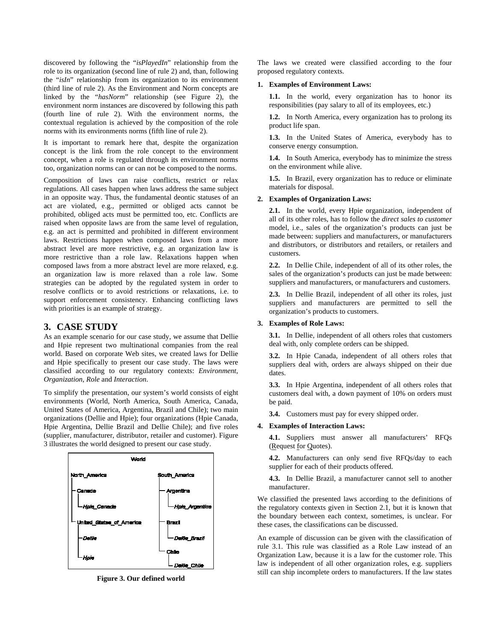discovered by following the "*isPlayedIn*" relationship from the role to its organization (second line of rule 2) and, than, following the "*isIn*" relationship from its organization to its environment (third line of rule 2). As the Environment and Norm concepts are linked by the "*hasNorm*" relationship (see Figure 2), the environment norm instances are discovered by following this path (fourth line of rule 2). With the environment norms, the contextual regulation is achieved by the composition of the role norms with its environments norms (fifth line of rule 2).

It is important to remark here that, despite the organization concept is the link from the role concept to the environment concept, when a role is regulated through its environment norms too, organization norms can or can not be composed to the norms.

Composition of laws can raise conflicts, restrict or relax regulations. All cases happen when laws address the same subject in an opposite way. Thus, the fundamental deontic statuses of an act are violated, e.g., permitted or obliged acts cannot be prohibited, obliged acts must be permitted too, etc. Conflicts are raised when opposite laws are from the same level of regulation, e.g. an act is permitted and prohibited in different environment laws. Restrictions happen when composed laws from a more abstract level are more restrictive, e.g. an organization law is more restrictive than a role law. Relaxations happen when composed laws from a more abstract level are more relaxed, e.g. an organization law is more relaxed than a role law. Some strategies can be adopted by the regulated system in order to resolve conflicts or to avoid restrictions or relaxations, i.e. to support enforcement consistency. Enhancing conflicting laws with priorities is an example of strategy.

## **3. CASE STUDY**

As an example scenario for our case study, we assume that Dellie and Hpie represent two multinational companies from the real world. Based on corporate Web sites, we created laws for Dellie and Hpie specifically to present our case study. The laws were classified according to our regulatory contexts: *Environment*, *Organization*, *Role* and *Interaction*.

To simplify the presentation, our system's world consists of eight environments (World, North America, South America, Canada, United States of America, Argentina, Brazil and Chile); two main organizations (Dellie and Hpie); four organizations (Hpie Canada, Hpie Argentina, Dellie Brazil and Dellie Chile); and five roles (supplier, manufacturer, distributor, retailer and customer). Figure 3 illustrates the world designed to present our case study.



**Figure 3. Our defined world** 

The laws we created were classified according to the four proposed regulatory contexts.

#### **1. Examples of Environment Laws:**

**1.1.** In the world, every organization has to honor its responsibilities (pay salary to all of its employees, etc.)

**1.2.** In North America, every organization has to prolong its product life span.

**1.3.** In the United States of America, everybody has to conserve energy consumption.

**1.4.** In South America, everybody has to minimize the stress on the environment while alive.

**1.5.** In Brazil, every organization has to reduce or eliminate materials for disposal.

#### **2. Examples of Organization Laws:**

**2.1.** In the world, every Hpie organization, independent of all of its other roles, has to follow the *direct sales to customer* model, i.e., sales of the organization's products can just be made between: suppliers and manufacturers, or manufacturers and distributors, or distributors and retailers, or retailers and customers.

**2.2.** In Dellie Chile, independent of all of its other roles, the sales of the organization's products can just be made between: suppliers and manufacturers, or manufacturers and customers.

**2.3.** In Dellie Brazil, independent of all other its roles, just suppliers and manufacturers are permitted to sell the organization's products to customers.

#### **3. Examples of Role Laws:**

**3.1.** In Dellie, independent of all others roles that customers deal with, only complete orders can be shipped.

**3.2.** In Hpie Canada, independent of all others roles that suppliers deal with, orders are always shipped on their due dates.

**3.3.** In Hpie Argentina, independent of all others roles that customers deal with, a down payment of 10% on orders must be paid.

**3.4.** Customers must pay for every shipped order.

#### **4. Examples of Interaction Laws:**

**4.1.** Suppliers must answer all manufacturers' RFQs (Request for Quotes).

**4.2.** Manufacturers can only send five RFQs/day to each supplier for each of their products offered.

**4.3.** In Dellie Brazil, a manufacturer cannot sell to another manufacturer.

We classified the presented laws according to the definitions of the regulatory contexts given in Section 2.1, but it is known that the boundary between each context, sometimes, is unclear. For these cases, the classifications can be discussed.

An example of discussion can be given with the classification of rule 3.1. This rule was classified as a Role Law instead of an Organization Law, because it is a law for the customer role. This law is independent of all other organization roles, e.g. suppliers still can ship incomplete orders to manufacturers. If the law states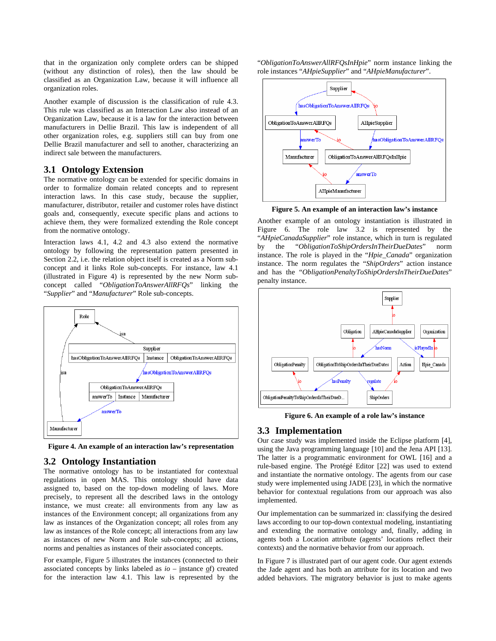that in the organization only complete orders can be shipped (without any distinction of roles), then the law should be classified as an Organization Law, because it will influence all organization roles.

Another example of discussion is the classification of rule 4.3. This rule was classified as an Interaction Law also instead of an Organization Law, because it is a law for the interaction between manufacturers in Dellie Brazil. This law is independent of all other organization roles, e.g. suppliers still can buy from one Dellie Brazil manufacturer and sell to another, characterizing an indirect sale between the manufacturers.

### **3.1 Ontology Extension**

The normative ontology can be extended for specific domains in order to formalize domain related concepts and to represent interaction laws. In this case study, because the supplier, manufacturer, distributor, retailer and customer roles have distinct goals and, consequently, execute specific plans and actions to achieve them, they were formalized extending the Role concept from the normative ontology.

Interaction laws 4.1, 4.2 and 4.3 also extend the normative ontology by following the representation pattern presented in Section 2.2, i.e. the relation object itself is created as a Norm subconcept and it links Role sub-concepts. For instance, law 4.1 (illustrated in Figure 4) is represented by the new Norm subconcept called "*ObligationToAnswerAllRFQs*" linking the "*Supplier*" and "*Manufacturer*" Role sub-concepts.



**Figure 4. An example of an interaction law's representation** 

### **3.2 Ontology Instantiation**

The normative ontology has to be instantiated for contextual regulations in open MAS. This ontology should have data assigned to, based on the top-down modeling of laws. More precisely, to represent all the described laws in the ontology instance, we must create: all environments from any law as instances of the Environment concept; all organizations from any law as instances of the Organization concept; all roles from any law as instances of the Role concept; all interactions from any law as instances of new Norm and Role sub-concepts; all actions, norms and penalties as instances of their associated concepts.

For example, Figure 5 illustrates the instances (connected to their associated concepts by links labeled as  $io$  – instance  $of$ ) created for the interaction law 4.1. This law is represented by the

"*ObligationToAnswerAllRFQsInHpie*" norm instance linking the role instances "*AHpieSupplier*" and "*AHpieManufacturer*".



**Figure 5. An example of an interaction law's instance** 

Another example of an ontology instantiation is illustrated in Figure 6. The role law 3.2 is represented by the "*AHpieCanadaSupplier*" role instance, which in turn is regulated by the "*ObligationToShipOrdersInTheirDueDates*" norm instance. The role is played in the "*Hpie\_Canada*" organization instance. The norm regulates the "*ShipOrders*" action instance and has the "*ObligationPenaltyToShipOrdersInTheirDueDates*" penalty instance.



**Figure 6. An example of a role law's instance** 

#### **3.3 Implementation**

Our case study was implemented inside the Eclipse platform [4], using the Java programming language [10] and the Jena API [13]. The latter is a programmatic environment for OWL [16] and a rule-based engine. The Protégé Editor [22] was used to extend and instantiate the normative ontology. The agents from our case study were implemented using JADE [23], in which the normative behavior for contextual regulations from our approach was also implemented.

Our implementation can be summarized in: classifying the desired laws according to our top-down contextual modeling, instantiating and extending the normative ontology and, finally, adding in agents both a Location attribute (agents' locations reflect their contexts) and the normative behavior from our approach.

In Figure 7 is illustrated part of our agent code. Our agent extends the Jade agent and has both an attribute for its location and two added behaviors. The migratory behavior is just to make agents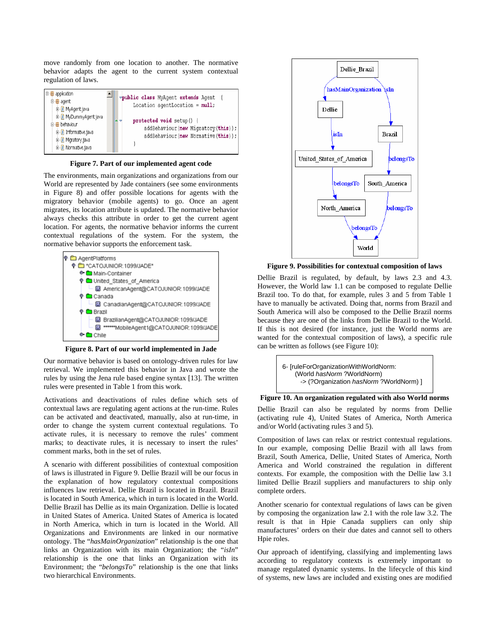move randomly from one location to another. The normative behavior adapts the agent to the current system contextual regulation of laws.



**Figure 7. Part of our implemented agent code** 

The environments, main organizations and organizations from our World are represented by Jade containers (see some environments in Figure 8) and offer possible locations for agents with the migratory behavior (mobile agents) to go. Once an agent migrates, its location attribute is updated. The normative behavior always checks this attribute in order to get the current agent location. For agents, the normative behavior informs the current contextual regulations of the system. For the system, the normative behavior supports the enforcement task.



**Figure 8. Part of our world implemented in Jade** 

Our normative behavior is based on ontology-driven rules for law retrieval. We implemented this behavior in Java and wrote the rules by using the Jena rule based engine syntax [13]. The written rules were presented in Table 1 from this work.

Activations and deactivations of rules define which sets of contextual laws are regulating agent actions at the run-time. Rules can be activated and deactivated, manually, also at run-time, in order to change the system current contextual regulations. To activate rules, it is necessary to remove the rules' comment marks; to deactivate rules, it is necessary to insert the rules' comment marks, both in the set of rules.

A scenario with different possibilities of contextual composition of laws is illustrated in Figure 9. Dellie Brazil will be our focus in the explanation of how regulatory contextual compositions influences law retrieval. Dellie Brazil is located in Brazil. Brazil is located in South America, which in turn is located in the World. Dellie Brazil has Dellie as its main Organization. Dellie is located in United States of America. United States of America is located in North America, which in turn is located in the World. All Organizations and Environments are linked in our normative ontology. The "*hasMainOrganization*" relationship is the one that links an Organization with its main Organization; the "*isIn*" relationship is the one that links an Organization with its Environment; the "*belongsTo*" relationship is the one that links two hierarchical Environments.



**Figure 9. Possibilities for contextual composition of laws** 

Dellie Brazil is regulated, by default, by laws 2.3 and 4.3. However, the World law 1.1 can be composed to regulate Dellie Brazil too. To do that, for example, rules 3 and 5 from Table 1 have to manually be activated. Doing that, norms from Brazil and South America will also be composed to the Dellie Brazil norms because they are one of the links from Dellie Brazil to the World. If this is not desired (for instance, just the World norms are wanted for the contextual composition of laws), a specific rule can be written as follows (see Figure 10):



**Figure 10. An organization regulated with also World norms** 

Dellie Brazil can also be regulated by norms from Dellie (activating rule 4), United States of America, North America and/or World (activating rules 3 and 5).

Composition of laws can relax or restrict contextual regulations. In our example, composing Dellie Brazil with all laws from Brazil, South America, Dellie, United States of America, North America and World constrained the regulation in different contexts. For example, the composition with the Dellie law 3.1 limited Dellie Brazil suppliers and manufacturers to ship only complete orders.

Another scenario for contextual regulations of laws can be given by composing the organization law 2.1 with the role law 3.2. The result is that in Hpie Canada suppliers can only ship manufactures' orders on their due dates and cannot sell to others Hpie roles.

Our approach of identifying, classifying and implementing laws according to regulatory contexts is extremely important to manage regulated dynamic systems. In the lifecycle of this kind of systems, new laws are included and existing ones are modified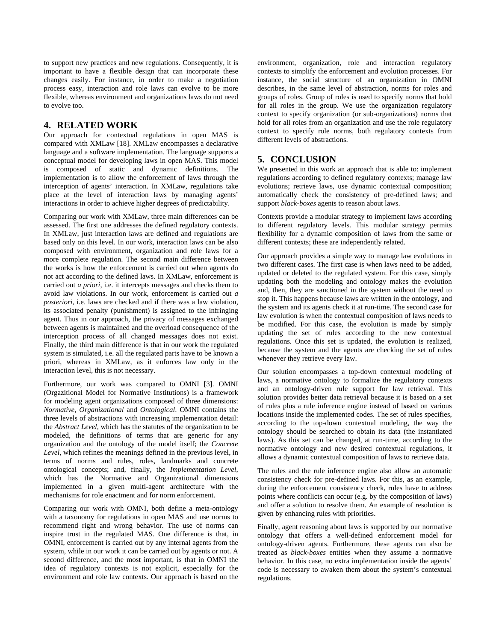to support new practices and new regulations. Consequently, it is important to have a flexible design that can incorporate these changes easily. For instance, in order to make a negotiation process easy, interaction and role laws can evolve to be more flexible, whereas environment and organizations laws do not need to evolve too.

### **4. RELATED WORK**

Our approach for contextual regulations in open MAS is compared with XMLaw [18]. XMLaw encompasses a declarative language and a software implementation. The language supports a conceptual model for developing laws in open MAS. This model is composed of static and dynamic definitions. The implementation is to allow the enforcement of laws through the interception of agents' interaction. In XMLaw, regulations take place at the level of interaction laws by managing agents' interactions in order to achieve higher degrees of predictability.

Comparing our work with XMLaw, three main differences can be assessed. The first one addresses the defined regulatory contexts. In XMLaw, just interaction laws are defined and regulations are based only on this level. In our work, interaction laws can be also composed with environment, organization and role laws for a more complete regulation. The second main difference between the works is how the enforcement is carried out when agents do not act according to the defined laws. In XMLaw, enforcement is carried out *a priori*, i.e. it intercepts messages and checks them to avoid law violations. In our work, enforcement is carried out *a posteriori*, i.e. laws are checked and if there was a law violation, its associated penalty (punishment) is assigned to the infringing agent. Thus in our approach, the privacy of messages exchanged between agents is maintained and the overload consequence of the interception process of all changed messages does not exist. Finally, the third main difference is that in our work the regulated system is simulated, i.e. all the regulated parts have to be known a priori, whereas in XMLaw, as it enforces law only in the interaction level, this is not necessary.

Furthermore, our work was compared to OMNI [3]. OMNI (Orgazitional Model for Normative Institutions) is a framework for modeling agent organizations composed of three dimensions: *Normative*, *Organizational* and *Ontological*. OMNI contains the three levels of abstractions with increasing implementation detail: the *Abstract Level*, which has the statutes of the organization to be modeled, the definitions of terms that are generic for any organization and the ontology of the model itself; the *Concrete Level*, which refines the meanings defined in the previous level, in terms of norms and rules, roles, landmarks and concrete ontological concepts; and, finally, the *Implementation Level*, which has the Normative and Organizational dimensions implemented in a given multi-agent architecture with the mechanisms for role enactment and for norm enforcement.

Comparing our work with OMNI, both define a meta-ontology with a taxonomy for regulations in open MAS and use norms to recommend right and wrong behavior. The use of norms can inspire trust in the regulated MAS. One difference is that, in OMNI, enforcement is carried out by any internal agents from the system, while in our work it can be carried out by agents or not. A second difference, and the most important, is that in OMNI the idea of regulatory contexts is not explicit, especially for the environment and role law contexts. Our approach is based on the

environment, organization, role and interaction regulatory contexts to simplify the enforcement and evolution processes. For instance, the social structure of an organization in OMNI describes, in the same level of abstraction, norms for roles and groups of roles. Group of roles is used to specify norms that hold for all roles in the group. We use the organization regulatory context to specify organization (or sub-organizations) norms that hold for all roles from an organization and use the role regulatory context to specify role norms, both regulatory contexts from different levels of abstractions.

# **5. CONCLUSION**

We presented in this work an approach that is able to: implement regulations according to defined regulatory contexts; manage law evolutions; retrieve laws, use dynamic contextual composition; automatically check the consistency of pre-defined laws; and support *black-boxes* agents to reason about laws.

Contexts provide a modular strategy to implement laws according to different regulatory levels. This modular strategy permits flexibility for a dynamic composition of laws from the same or different contexts; these are independently related.

Our approach provides a simple way to manage law evolutions in two different cases. The first case is when laws need to be added, updated or deleted to the regulated system. For this case, simply updating both the modeling and ontology makes the evolution and, then, they are sanctioned in the system without the need to stop it. This happens because laws are written in the ontology, and the system and its agents check it at run-time. The second case for law evolution is when the contextual composition of laws needs to be modified. For this case, the evolution is made by simply updating the set of rules according to the new contextual regulations. Once this set is updated, the evolution is realized, because the system and the agents are checking the set of rules whenever they retrieve every law.

Our solution encompasses a top-down contextual modeling of laws, a normative ontology to formalize the regulatory contexts and an ontology-driven rule support for law retrieval. This solution provides better data retrieval because it is based on a set of rules plus a rule inference engine instead of based on various locations inside the implemented codes. The set of rules specifies, according to the top-down contextual modeling, the way the ontology should be searched to obtain its data (the instantiated laws). As this set can be changed, at run-time, according to the normative ontology and new desired contextual regulations, it allows a dynamic contextual composition of laws to retrieve data.

The rules and the rule inference engine also allow an automatic consistency check for pre-defined laws. For this, as an example, during the enforcement consistency check, rules have to address points where conflicts can occur (e.g. by the composition of laws) and offer a solution to resolve them. An example of resolution is given by enhancing rules with priorities.

Finally, agent reasoning about laws is supported by our normative ontology that offers a well-defined enforcement model for ontology-driven agents. Furthermore, these agents can also be treated as *black-boxes* entities when they assume a normative behavior. In this case, no extra implementation inside the agents' code is necessary to awaken them about the system's contextual regulations.